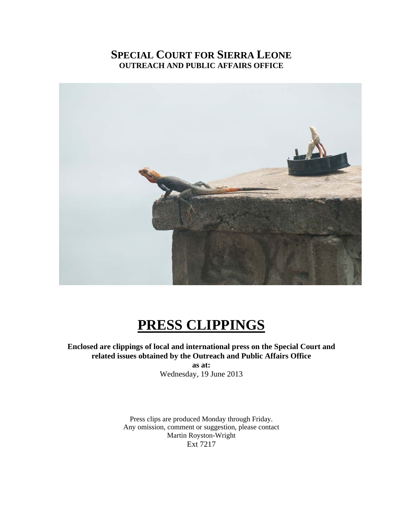## **SPECIAL COURT FOR SIERRA LEONE OUTREACH AND PUBLIC AFFAIRS OFFICE**



# **PRESS CLIPPINGS**

**Enclosed are clippings of local and international press on the Special Court and related issues obtained by the Outreach and Public Affairs Office as at:**  Wednesday, 19 June 2013

> Press clips are produced Monday through Friday. Any omission, comment or suggestion, please contact Martin Royston-Wright Ext 7217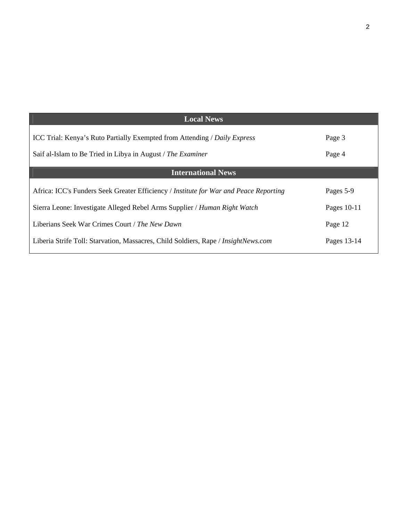| <b>Local News</b>                                                                     |             |
|---------------------------------------------------------------------------------------|-------------|
| <b>ICC Trial: Kenya's Ruto Partially Exempted from Attending / Daily Express</b>      | Page 3      |
| Saif al-Islam to Be Tried in Libya in August / The Examiner                           | Page 4      |
| <b>International News</b>                                                             |             |
| Africa: ICC's Funders Seek Greater Efficiency / Institute for War and Peace Reporting | Pages 5-9   |
| Sierra Leone: Investigate Alleged Rebel Arms Supplier / Human Right Watch             | Pages 10-11 |
| Liberians Seek War Crimes Court / The New Dawn                                        | Page 12     |
| Liberia Strife Toll: Starvation, Massacres, Child Soldiers, Rape / InsightNews.com    | Pages 13-14 |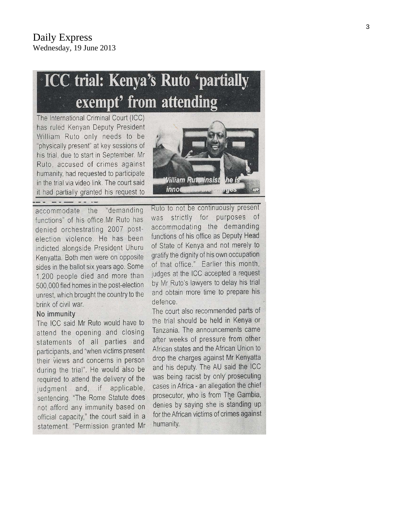# **ICC trial: Kenya's Ruto 'partially** exempt' from attending

The International Criminal Court (ICC) has ruled Kenyan Deputy President William Ruto only needs to be "physically present" at key sessions of his trial, due to start in September. Mr Ruto, accused of crimes against humanity, had requested to participate in the trial via video link. The court said it had partially granted his request to

*Nilliam Ruterinsist* lhe innod **LASICE** 

accommodate the "demanding functions" of his office.Mr Ruto has denied orchestrating 2007 postelection violence. He has been indicted alongside President Uhuru Kenyatta. Both men were on opposite sides in the ballot six years ago. Some 1,200 people died and more than 500,000 fled homes in the post-election unrest, which brought the country to the brink of civil war.

#### No immunity

The ICC said Mr Ruto would have to attend the opening and closing statements of all parties and participants, and "when victims present their views and concerns in person during the trial". He would also be required to attend the delivery of the judgment and, if applicable, sentencing. "The Rome Statute does not afford any immunity based on official capacity," the court said in a statement. "Permission granted Mr Ruto to not be continuously present was strictly for purposes of accommodating the demanding functions of his office as Deputy Head of State of Kenya and not merely to gratify the dignity of his own occupation of that office." Earlier this month, judges at the ICC accepted a request by Mr Ruto's lawyers to delay his trial and obtain more time to prepare his defence.

The court also recommended parts of the trial should be held in Kenya or Tanzania. The announcements came after weeks of pressure from other African states and the African Union to drop the charges against Mr Kenyatta and his deputy. The AU said the ICC was being racist by only prosecuting cases in Africa - an allegation the chief prosecutor, who is from The Gambia, denies by saying she is standing up for the African victims of crimes against humanity.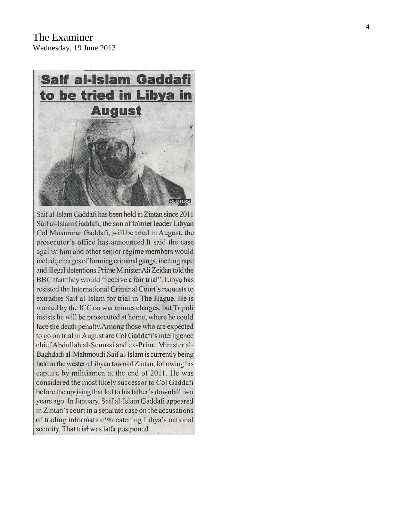

Saif al-Islam Gaddafi has been held in Zintan since 2011 Saif al-Islam Gaddafi, the son of former leader Libyan Col Muammar Gaddafi, will be tried in August, the prosecutor's office has announced. It said the case against him and other senior regime members would include charges of forming criminal gangs, inciting rape and illegal detentions. Prime Minister Ali Zeidan told the BBC that they would "receive a fair trial". Libya has resisted the International Criminal Court's requests to extradite Saif al-Islam for trial in The Hague. He is wanted by the ICC on war crimes charges, but Tripoli insists he will be prosecuted at home, where he could face the death penalty. Among those who are expected to go on trial in August are Col Gaddafi's intelligence chief Abdullah al-Senussi and ex-Prime Minister al-Baghdadi al-Mahmoudi.Saif al-Islam is currently being held in the western Libyan town of Zintan, following his capture by militiamen at the end of 2011. He was considered the most likely successor to Col Gaddafi before the uprising that led to his father's downfall two years ago. In January, Saif al-Islam Gaddafi appeared in Zintan's court in a separate case on the accusations of trading information threatening Libya's national security. That trial was later postponed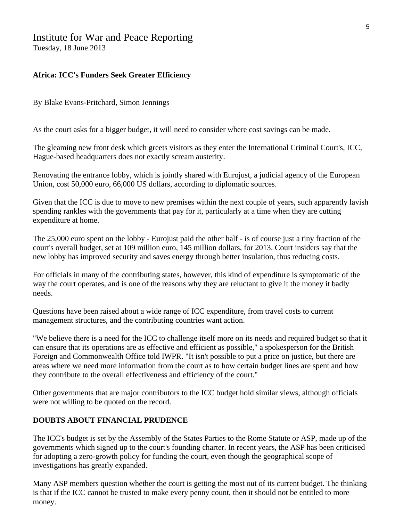## Institute for War and Peace Reporting

Tuesday, 18 June 2013

#### **Africa: ICC's Funders Seek Greater Efficiency**

By Blake Evans-Pritchard, Simon Jennings

As the court asks for a bigger budget, it will need to consider where cost savings can be made.

The gleaming new front desk which greets visitors as they enter the International Criminal Court's, ICC, Hague-based headquarters does not exactly scream austerity.

Renovating the entrance lobby, which is jointly shared with Eurojust, a judicial agency of the European Union, cost 50,000 euro, 66,000 US dollars, according to diplomatic sources.

Given that the ICC is due to move to new premises within the next couple of years, such apparently lavish spending rankles with the governments that pay for it, particularly at a time when they are cutting expenditure at home.

The 25,000 euro spent on the lobby - Eurojust paid the other half - is of course just a tiny fraction of the court's overall budget, set at 109 million euro, 145 million dollars, for 2013. Court insiders say that the new lobby has improved security and saves energy through better insulation, thus reducing costs.

For officials in many of the contributing states, however, this kind of expenditure is symptomatic of the way the court operates, and is one of the reasons why they are reluctant to give it the money it badly needs.

Questions have been raised about a wide range of ICC expenditure, from travel costs to current management structures, and the contributing countries want action.

"We believe there is a need for the ICC to challenge itself more on its needs and required budget so that it can ensure that its operations are as effective and efficient as possible," a spokesperson for the British Foreign and Commonwealth Office told IWPR. "It isn't possible to put a price on justice, but there are areas where we need more information from the court as to how certain budget lines are spent and how they contribute to the overall effectiveness and efficiency of the court."

Other governments that are major contributors to the ICC budget hold similar views, although officials were not willing to be quoted on the record.

#### **DOUBTS ABOUT FINANCIAL PRUDENCE**

The ICC's budget is set by the Assembly of the States Parties to the Rome Statute or ASP, made up of the governments which signed up to the court's founding charter. In recent years, the ASP has been criticised for adopting a zero-growth policy for funding the court, even though the geographical scope of investigations has greatly expanded.

Many ASP members question whether the court is getting the most out of its current budget. The thinking is that if the ICC cannot be trusted to make every penny count, then it should not be entitled to more money.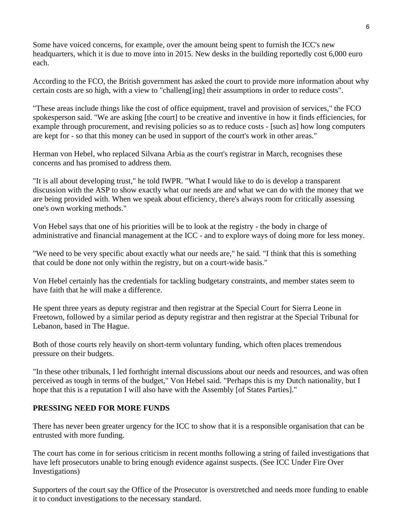Some have voiced concerns, for example, over the amount being spent to furnish the ICC's new headquarters, which it is due to move into in 2015. New desks in the building reportedly cost 6,000 euro each.

According to the FCO, the British government has asked the court to provide more information about why certain costs are so high, with a view to "challeng[ing] their assumptions in order to reduce costs".

"These areas include things like the cost of office equipment, travel and provision of services," the FCO spokesperson said. "We are asking [the court] to be creative and inventive in how it finds efficiencies, for example through procurement, and revising policies so as to reduce costs - [such as] how long computers are kept for - so that this money can be used in support of the court's work in other areas."

Herman von Hebel, who replaced Silvana Arbia as the court's registrar in March, recognises these concerns and has promised to address them.

"It is all about developing trust," he told IWPR. "What I would like to do is develop a transparent discussion with the ASP to show exactly what our needs are and what we can do with the money that we are being provided with. When we speak about efficiency, there's always room for critically assessing one's own working methods."

Von Hebel says that one of his priorities will be to look at the registry - the body in charge of administrative and financial management at the ICC - and to explore ways of doing more for less money.

"We need to be very specific about exactly what our needs are," he said. "I think that this is something that could be done not only within the registry, but on a court-wide basis."

Von Hebel certainly has the credentials for tackling budgetary constraints, and member states seem to have faith that he will make a difference.

He spent three years as deputy registrar and then registrar at the Special Court for Sierra Leone in Freetown, followed by a similar period as deputy registrar and then registrar at the Special Tribunal for Lebanon, based in The Hague.

Both of those courts rely heavily on short-term voluntary funding, which often places tremendous pressure on their budgets.

"In these other tribunals, I led forthright internal discussions about our needs and resources, and was often perceived as tough in terms of the budget," Von Hebel said. "Perhaps this is my Dutch nationality, but I hope that this is a reputation I will also have with the Assembly [of States Parties]."

#### **PRESSING NEED FOR MORE FUNDS**

There has never been greater urgency for the ICC to show that it is a responsible organisation that can be entrusted with more funding.

The court has come in for serious criticism in recent months following a string of failed investigations that have left prosecutors unable to bring enough evidence against suspects. (See ICC Under Fire Over Investigations)

Supporters of the court say the Office of the Prosecutor is overstretched and needs more funding to enable it to conduct investigations to the necessary standard.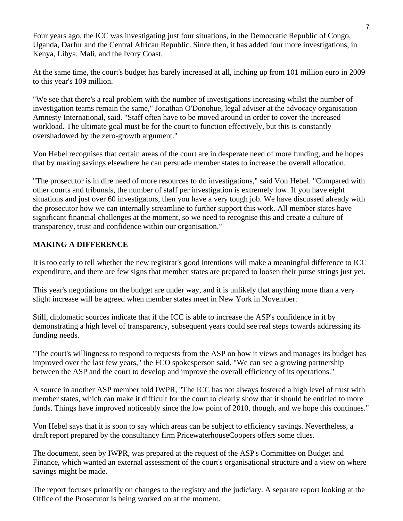Four years ago, the ICC was investigating just four situations, in the Democratic Republic of Congo, Uganda, Darfur and the Central African Republic. Since then, it has added four more investigations, in Kenya, Libya, Mali, and the Ivory Coast.

At the same time, the court's budget has barely increased at all, inching up from 101 million euro in 2009 to this year's 109 million.

"We see that there's a real problem with the number of investigations increasing whilst the number of investigation teams remain the same," Jonathan O'Donohue, legal adviser at the advocacy organisation Amnesty International, said. "Staff often have to be moved around in order to cover the increased workload. The ultimate goal must be for the court to function effectively, but this is constantly overshadowed by the zero-growth argument."

Von Hebel recognises that certain areas of the court are in desperate need of more funding, and he hopes that by making savings elsewhere he can persuade member states to increase the overall allocation.

"The prosecutor is in dire need of more resources to do investigations," said Von Hebel. "Compared with other courts and tribunals, the number of staff per investigation is extremely low. If you have eight situations and just over 60 investigators, then you have a very tough job. We have discussed already with the prosecutor how we can internally streamline to further support this work. All member states have significant financial challenges at the moment, so we need to recognise this and create a culture of transparency, trust and confidence within our organisation."

#### **MAKING A DIFFERENCE**

It is too early to tell whether the new registrar's good intentions will make a meaningful difference to ICC expenditure, and there are few signs that member states are prepared to loosen their purse strings just yet.

This year's negotiations on the budget are under way, and it is unlikely that anything more than a very slight increase will be agreed when member states meet in New York in November.

Still, diplomatic sources indicate that if the ICC is able to increase the ASP's confidence in it by demonstrating a high level of transparency, subsequent years could see real steps towards addressing its funding needs.

"The court's willingness to respond to requests from the ASP on how it views and manages its budget has improved over the last few years," the FCO spokesperson said. "We can see a growing partnership between the ASP and the court to develop and improve the overall efficiency of its operations."

A source in another ASP member told IWPR, "The ICC has not always fostered a high level of trust with member states, which can make it difficult for the court to clearly show that it should be entitled to more funds. Things have improved noticeably since the low point of 2010, though, and we hope this continues."

Von Hebel says that it is soon to say which areas can be subject to efficiency savings. Nevertheless, a draft report prepared by the consultancy firm PricewaterhouseCoopers offers some clues.

The document, seen by IWPR, was prepared at the request of the ASP's Committee on Budget and Finance, which wanted an external assessment of the court's organisational structure and a view on where savings might be made.

The report focuses primarily on changes to the registry and the judiciary. A separate report looking at the Office of the Prosecutor is being worked on at the moment.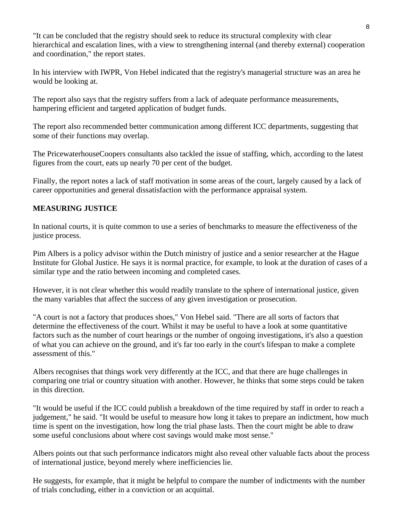"It can be concluded that the registry should seek to reduce its structural complexity with clear hierarchical and escalation lines, with a view to strengthening internal (and thereby external) cooperation and coordination," the report states.

In his interview with IWPR, Von Hebel indicated that the registry's managerial structure was an area he would be looking at.

The report also says that the registry suffers from a lack of adequate performance measurements, hampering efficient and targeted application of budget funds.

The report also recommended better communication among different ICC departments, suggesting that some of their functions may overlap.

The PricewaterhouseCoopers consultants also tackled the issue of staffing, which, according to the latest figures from the court, eats up nearly 70 per cent of the budget.

Finally, the report notes a lack of staff motivation in some areas of the court, largely caused by a lack of career opportunities and general dissatisfaction with the performance appraisal system.

#### **MEASURING JUSTICE**

In national courts, it is quite common to use a series of benchmarks to measure the effectiveness of the justice process.

Pim Albers is a policy advisor within the Dutch ministry of justice and a senior researcher at the Hague Institute for Global Justice. He says it is normal practice, for example, to look at the duration of cases of a similar type and the ratio between incoming and completed cases.

However, it is not clear whether this would readily translate to the sphere of international justice, given the many variables that affect the success of any given investigation or prosecution.

"A court is not a factory that produces shoes," Von Hebel said. "There are all sorts of factors that determine the effectiveness of the court. Whilst it may be useful to have a look at some quantitative factors such as the number of court hearings or the number of ongoing investigations, it's also a question of what you can achieve on the ground, and it's far too early in the court's lifespan to make a complete assessment of this."

Albers recognises that things work very differently at the ICC, and that there are huge challenges in comparing one trial or country situation with another. However, he thinks that some steps could be taken in this direction.

"It would be useful if the ICC could publish a breakdown of the time required by staff in order to reach a judgement," he said. "It would be useful to measure how long it takes to prepare an indictment, how much time is spent on the investigation, how long the trial phase lasts. Then the court might be able to draw some useful conclusions about where cost savings would make most sense."

Albers points out that such performance indicators might also reveal other valuable facts about the process of international justice, beyond merely where inefficiencies lie.

He suggests, for example, that it might be helpful to compare the number of indictments with the number of trials concluding, either in a conviction or an acquittal.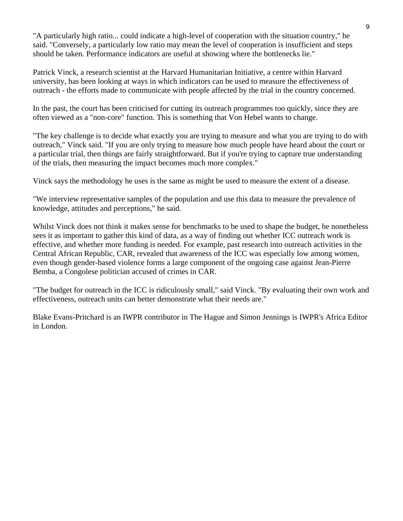"A particularly high ratio... could indicate a high-level of cooperation with the situation country," he said. "Conversely, a particularly low ratio may mean the level of cooperation is insufficient and steps should be taken. Performance indicators are useful at showing where the bottlenecks lie."

Patrick Vinck, a research scientist at the Harvard Humanitarian Initiative, a centre within Harvard university, has been looking at ways in which indicators can be used to measure the effectiveness of outreach - the efforts made to communicate with people affected by the trial in the country concerned.

In the past, the court has been criticised for cutting its outreach programmes too quickly, since they are often viewed as a "non-core" function. This is something that Von Hebel wants to change.

"The key challenge is to decide what exactly you are trying to measure and what you are trying to do with outreach," Vinck said. "If you are only trying to measure how much people have heard about the court or a particular trial, then things are fairly straightforward. But if you're trying to capture true understanding of the trials, then measuring the impact becomes much more complex."

Vinck says the methodology he uses is the same as might be used to measure the extent of a disease.

"We interview representative samples of the population and use this data to measure the prevalence of knowledge, attitudes and perceptions," he said.

Whilst Vinck does not think it makes sense for benchmarks to be used to shape the budget, he nonetheless sees it as important to gather this kind of data, as a way of finding out whether ICC outreach work is effective, and whether more funding is needed. For example, past research into outreach activities in the Central African Republic, CAR, revealed that awareness of the ICC was especially low among women, even though gender-based violence forms a large component of the ongoing case against Jean-Pierre Bemba, a Congolese politician accused of crimes in CAR.

"The budget for outreach in the ICC is ridiculously small," said Vinck. "By evaluating their own work and effectiveness, outreach units can better demonstrate what their needs are."

Blake Evans-Pritchard is an IWPR contributor in The Hague and Simon Jennings is IWPR's Africa Editor in London.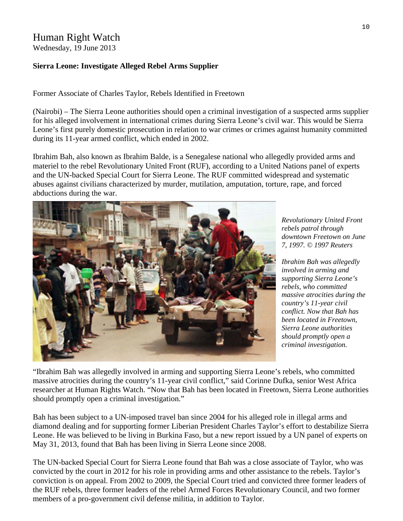# Human Right Watch

Wednesday, 19 June 2013

#### **Sierra Leone: Investigate Alleged Rebel Arms Supplier**

Former Associate of Charles Taylor, Rebels Identified in Freetown

(Nairobi) – The Sierra Leone authorities should open a criminal investigation of a suspected arms supplier for his alleged involvement in international crimes during Sierra Leone's civil war. This would be Sierra Leone's first purely domestic prosecution in relation to war crimes or crimes against humanity committed during its 11-year armed conflict, which ended in 2002.

Ibrahim Bah, also known as Ibrahim Balde, is a Senegalese national who allegedly provided arms and materiel to the rebel Revolutionary United Front (RUF), according to a United Nations panel of experts and the UN-backed Special Court for Sierra Leone. The RUF committed widespread and systematic abuses against civilians characterized by murder, mutilation, amputation, torture, rape, and forced abductions during the war.



*Revolutionary United Front rebels patrol through downtown Freetown on June 7, 1997. © 1997 Reuters* 

*Ibrahim Bah was allegedly involved in arming and supporting Sierra Leone's rebels, who committed massive atrocities during the country's 11-year civil conflict. Now that Bah has been located in Freetown, Sierra Leone authorities should promptly open a criminal investigation.* 

"Ibrahim Bah was allegedly involved in arming and supporting Sierra Leone's rebels, who committed massive atrocities during the country's 11-year civil conflict," said Corinne Dufka, senior West Africa researcher at Human Rights Watch. "Now that Bah has been located in Freetown, Sierra Leone authorities should promptly open a criminal investigation."

Bah has been subject to a UN-imposed travel ban since 2004 for his alleged role in illegal arms and diamond dealing and for supporting former Liberian President Charles Taylor's effort to destabilize Sierra Leone. He was believed to be living in Burkina Faso, but a new report issued by a UN panel of experts on May 31, 2013, found that Bah has been living in Sierra Leone since 2008.

The UN-backed Special Court for Sierra Leone found that Bah was a close associate of Taylor, who was convicted by the court in 2012 for his role in providing arms and other assistance to the rebels. Taylor's conviction is on appeal. From 2002 to 2009, the Special Court tried and convicted three former leaders of the RUF rebels, three former leaders of the rebel Armed Forces Revolutionary Council, and two former members of a pro-government civil defense militia, in addition to Taylor.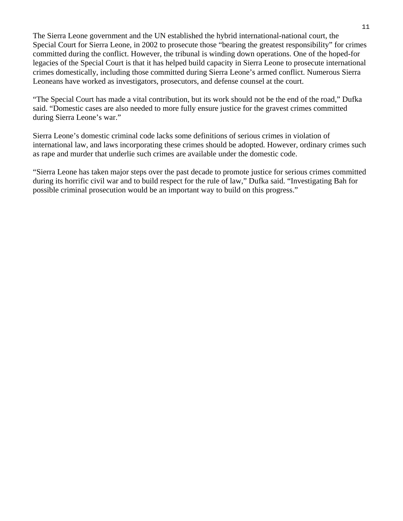The Sierra Leone government and the UN established the hybrid international-national court, the Special Court for Sierra Leone, in 2002 to prosecute those "bearing the greatest responsibility" for crimes committed during the conflict. However, the tribunal is winding down operations. One of the hoped-for legacies of the Special Court is that it has helped build capacity in Sierra Leone to prosecute international crimes domestically, including those committed during Sierra Leone's armed conflict. Numerous Sierra Leoneans have worked as investigators, prosecutors, and defense counsel at the court.

"The Special Court has made a vital contribution, but its work should not be the end of the road," Dufka said. "Domestic cases are also needed to more fully ensure justice for the gravest crimes committed during Sierra Leone's war."

Sierra Leone's domestic criminal code lacks some definitions of serious crimes in violation of international law, and laws incorporating these crimes should be adopted. However, ordinary crimes such as rape and murder that underlie such crimes are available under the domestic code.

"Sierra Leone has taken major steps over the past decade to promote justice for serious crimes committed during its horrific civil war and to build respect for the rule of law," Dufka said. "Investigating Bah for possible criminal prosecution would be an important way to build on this progress."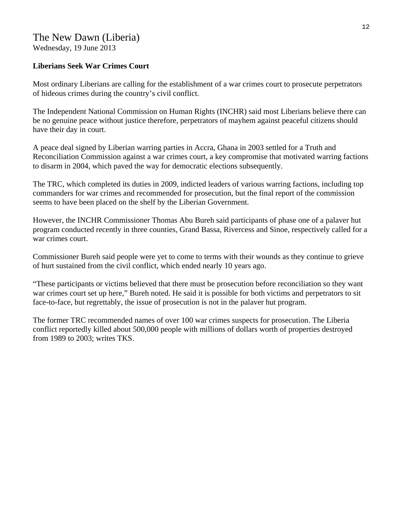## The New Dawn (Liberia)

Wednesday, 19 June 2013

#### **Liberians Seek War Crimes Court**

Most ordinary Liberians are calling for the establishment of a war crimes court to prosecute perpetrators of hideous crimes during the country's civil conflict.

The Independent National Commission on Human Rights (INCHR) said most Liberians believe there can be no genuine peace without justice therefore, perpetrators of mayhem against peaceful citizens should have their day in court.

A peace deal signed by Liberian warring parties in Accra, Ghana in 2003 settled for a Truth and Reconciliation Commission against a war crimes court, a key compromise that motivated warring factions to disarm in 2004, which paved the way for democratic elections subsequently.

The TRC, which completed its duties in 2009, indicted leaders of various warring factions, including top commanders for war crimes and recommended for prosecution, but the final report of the commission seems to have been placed on the shelf by the Liberian Government.

However, the INCHR Commissioner Thomas Abu Bureh said participants of phase one of a palaver hut program conducted recently in three counties, Grand Bassa, Rivercess and Sinoe, respectively called for a war crimes court.

Commissioner Bureh said people were yet to come to terms with their wounds as they continue to grieve of hurt sustained from the civil conflict, which ended nearly 10 years ago.

"These participants or victims believed that there must be prosecution before reconciliation so they want war crimes court set up here," Bureh noted. He said it is possible for both victims and perpetrators to sit face-to-face, but regrettably, the issue of prosecution is not in the palaver hut program.

The former TRC recommended names of over 100 war crimes suspects for prosecution. The Liberia conflict reportedly killed about 500,000 people with millions of dollars worth of properties destroyed from 1989 to 2003; writes TKS.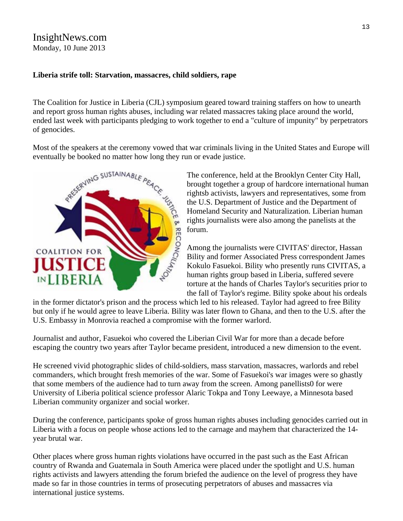### InsightNews.com Monday, 10 June 2013

#### **Liberia strife toll: Starvation, massacres, child soldiers, rape**

The Coalition for Justice in Liberia (CJL) symposium geared toward training staffers on how to unearth and report gross human rights abuses, including war related massacres taking place around the world, ended last week with participants pledging to work together to end a "culture of impunity" by perpetrators of genocides.

Most of the speakers at the ceremony vowed that war criminals living in the United States and Europe will eventually be booked no matter how long they run or evade justice.



The conference, held at the Brooklyn Center City Hall, brought together a group of hardcore international human rightsb activists, lawyers and representatives, some from the U.S. Department of Justice and the Department of rights journalists were also among the panelists at the forum.

Homeland Security and Naturalization. Liberian human<br>rights journalists were also among the panelists at the<br>forum.<br>Among the journalists were CIVITAS' director, Hassan<br>Bility and former Associated Press correspondent Jame Among the journalists were CIVITAS' director, Hassan Bility and former Associated Press correspondent James Kokulo Fasuekoi. Bility who presently runs CIVITAS, a human rights group based in Liberia, suffered severe torture at the hands of Charles Taylor's securities prior to the fall of Taylor's regime. Bility spoke about his ordeals

in the former dictator's prison and the process which led to his released. Taylor had agreed to free Bility but only if he would agree to leave Liberia. Bility was later flown to Ghana, and then to the U.S. after the U.S. Embassy in Monrovia reached a compromise with the former warlord.

Journalist and author, Fasuekoi who covered the Liberian Civil War for more than a decade before escaping the country two years after Taylor became president, introduced a new dimension to the event.

He screened vivid photographic slides of child-soldiers, mass starvation, massacres, warlords and rebel commanders, which brought fresh memories of the war. Some of Fasuekoi's war images were so ghastly that some members of the audience had to turn away from the screen. Among panellists0 for were University of Liberia political science professor Alaric Tokpa and Tony Leewaye, a Minnesota based Liberian community organizer and social worker.

During the conference, participants spoke of gross human rights abuses including genocides carried out in Liberia with a focus on people whose actions led to the carnage and mayhem that characterized the 14 year brutal war.

Other places where gross human rights violations have occurred in the past such as the East African country of Rwanda and Guatemala in South America were placed under the spotlight and U.S. human rights activists and lawyers attending the forum briefed the audience on the level of progress they have made so far in those countries in terms of prosecuting perpetrators of abuses and massacres via international justice systems.